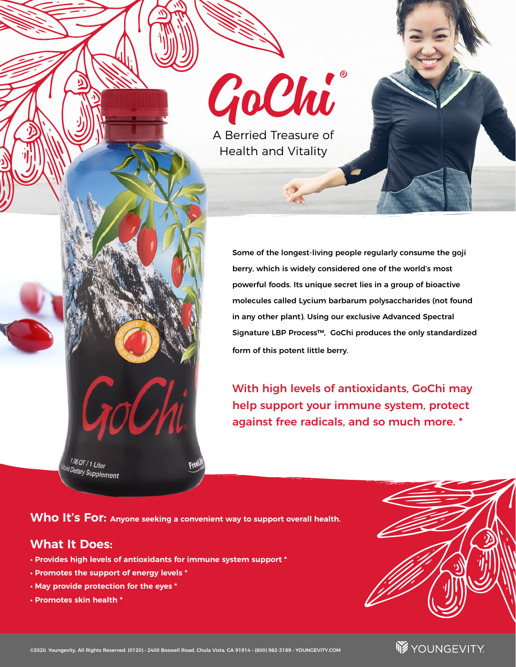

A Berried Treasure of Health and Vitality

> Some of the longest-living people regularly consume the goji berry, which is widely considered one of the world's most powerful foods. Its unique secret lies in a group of bioactive molecules called Lycium barbarum polysaccharides (not found in any other plant). Using our exclusive Advanced Spectral Signature LBP Process™, GoChi produces the only standardized form of this potent little berry.

With high levels of antioxidants, GoChi may help support your immune system, protect against free radicals, and so much more. \*

**Who It's For: Anyone seeking a convenient way to support overall health.**

### **What It Does:**

 $\frac{1.06}{100}$  OT / 1 Liter lid Dietary Supplement

**• Provides high levels of antioxidants for immune system support \*** 

10U

- **Promotes the support of energy levels \***
- **May provide protection for the eyes \***
- **Promotes skin health \***





**W**YOUNGEVITY